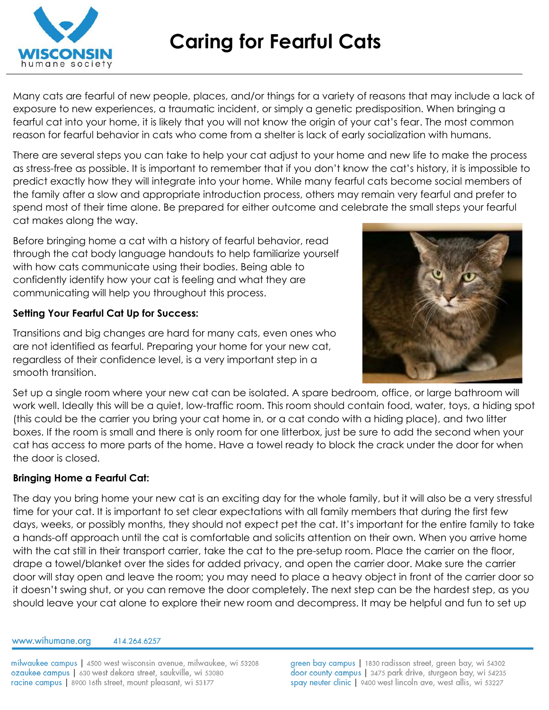

# **Caring for Fearful Cats**

Many cats are fearful of new people, places, and/or things for a variety of reasons that may include a lack of exposure to new experiences, a traumatic incident, or simply a genetic predisposition. When bringing a fearful cat into your home, it is likely that you will not know the origin of your cat's fear. The most common reason for fearful behavior in cats who come from a shelter is lack of early socialization with humans.

There are several steps you can take to help your cat adjust to your home and new life to make the process as stress-free as possible. It is important to remember that if you don't know the cat's history, it is impossible to predict exactly how they will integrate into your home. While many fearful cats become social members of the family after a slow and appropriate introduction process, others may remain very fearful and prefer to spend most of their time alone. Be prepared for either outcome and celebrate the small steps your fearful cat makes along the way.

Before bringing home a cat with a history of fearful behavior, read through the cat body language handouts to help familiarize yourself with how cats communicate using their bodies. Being able to confidently identify how your cat is feeling and what they are communicating will help you throughout this process.

### **Setting Your Fearful Cat Up for Success:**

Transitions and big changes are hard for many cats, even ones who are not identified as fearful. Preparing your home for your new cat, regardless of their confidence level, is a very important step in a smooth transition.



Set up a single room where your new cat can be isolated. A spare bedroom, office, or large bathroom will work well. Ideally this will be a quiet, low-traffic room. This room should contain food, water, toys, a hiding spot (this could be the carrier you bring your cat home in, or a cat condo with a hiding place), and two litter boxes. If the room is small and there is only room for one litterbox, just be sure to add the second when your cat has access to more parts of the home. Have a towel ready to block the crack under the door for when the door is closed.

## **Bringing Home a Fearful Cat:**

The day you bring home your new cat is an exciting day for the whole family, but it will also be a very stressful time for your cat. It is important to set clear expectations with all family members that during the first few days, weeks, or possibly months, they should not expect pet the cat. It's important for the entire family to take a hands-off approach until the cat is comfortable and solicits attention on their own. When you arrive home with the cat still in their transport carrier, take the cat to the pre-setup room. Place the carrier on the floor, drape a towel/blanket over the sides for added privacy, and open the carrier door. Make sure the carrier door will stay open and leave the room; you may need to place a heavy object in front of the carrier door so it doesn't swing shut, or you can remove the door completely. The next step can be the hardest step, as you should leave your cat alone to explore their new room and decompress. It may be helpful and fun to set up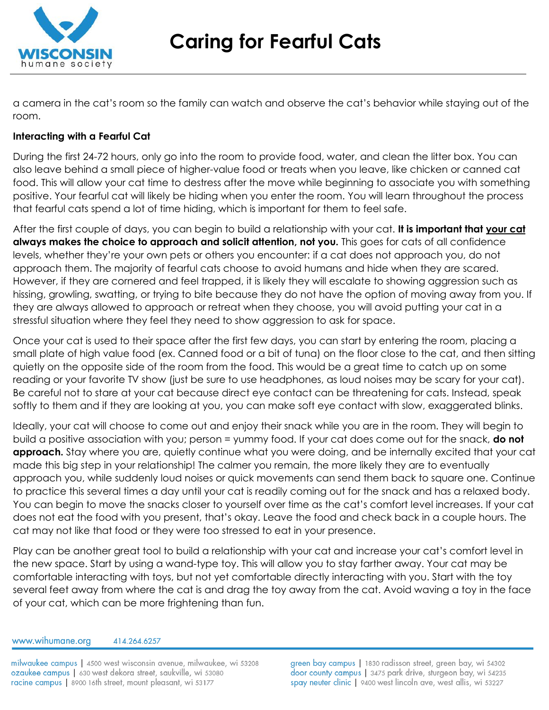

**Caring for Fearful Cats**

a camera in the cat's room so the family can watch and observe the cat's behavior while staying out of the room.

### **Interacting with a Fearful Cat**

During the first 24-72 hours, only go into the room to provide food, water, and clean the litter box. You can also leave behind a small piece of higher-value food or treats when you leave, like chicken or canned cat food. This will allow your cat time to destress after the move while beginning to associate you with something positive. Your fearful cat will likely be hiding when you enter the room. You will learn throughout the process that fearful cats spend a lot of time hiding, which is important for them to feel safe.

After the first couple of days, you can begin to build a relationship with your cat. **It is important that your cat always makes the choice to approach and solicit attention, not you.** This goes for cats of all confidence levels, whether they're your own pets or others you encounter: if a cat does not approach you, do not approach them. The majority of fearful cats choose to avoid humans and hide when they are scared. However, if they are cornered and feel trapped, it is likely they will escalate to showing aggression such as hissing, growling, swatting, or trying to bite because they do not have the option of moving away from you. If they are always allowed to approach or retreat when they choose, you will avoid putting your cat in a stressful situation where they feel they need to show aggression to ask for space.

Once your cat is used to their space after the first few days, you can start by entering the room, placing a small plate of high value food (ex. Canned food or a bit of tuna) on the floor close to the cat, and then sitting quietly on the opposite side of the room from the food. This would be a great time to catch up on some reading or your favorite TV show (just be sure to use headphones, as loud noises may be scary for your cat). Be careful not to stare at your cat because direct eye contact can be threatening for cats. Instead, speak softly to them and if they are looking at you, you can make soft eye contact with slow, exaggerated blinks.

Ideally, your cat will choose to come out and enjoy their snack while you are in the room. They will begin to build a positive association with you; person = yummy food. If your cat does come out for the snack, **do not approach.** Stay where you are, quietly continue what you were doing, and be internally excited that your cat made this big step in your relationship! The calmer you remain, the more likely they are to eventually approach you, while suddenly loud noises or quick movements can send them back to square one. Continue to practice this several times a day until your cat is readily coming out for the snack and has a relaxed body. You can begin to move the snacks closer to yourself over time as the cat's comfort level increases. If your cat does not eat the food with you present, that's okay. Leave the food and check back in a couple hours. The cat may not like that food or they were too stressed to eat in your presence.

Play can be another great tool to build a relationship with your cat and increase your cat's comfort level in the new space. Start by using a wand-type toy. This will allow you to stay farther away. Your cat may be comfortable interacting with toys, but not yet comfortable directly interacting with you. Start with the toy several feet away from where the cat is and drag the toy away from the cat. Avoid waving a toy in the face of your cat, which can be more frightening than fun.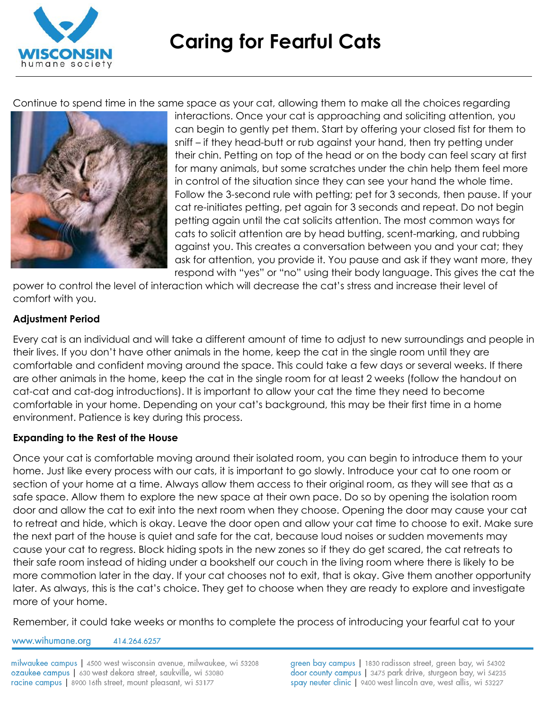

Continue to spend time in the same space as your cat, allowing them to make all the choices regarding



interactions. Once your cat is approaching and soliciting attention, you can begin to gently pet them. Start by offering your closed fist for them to sniff – if they head-butt or rub against your hand, then try petting under their chin. Petting on top of the head or on the body can feel scary at first for many animals, but some scratches under the chin help them feel more in control of the situation since they can see your hand the whole time. Follow the 3-second rule with petting; pet for 3 seconds, then pause. If your cat re-initiates petting, pet again for 3 seconds and repeat. Do not begin petting again until the cat solicits attention. The most common ways for cats to solicit attention are by head butting, scent-marking, and rubbing against you. This creates a conversation between you and your cat; they ask for attention, you provide it. You pause and ask if they want more, they respond with "yes" or "no" using their body language. This gives the cat the

power to control the level of interaction which will decrease the cat's stress and increase their level of comfort with you.

### **Adjustment Period**

Every cat is an individual and will take a different amount of time to adjust to new surroundings and people in their lives. If you don't have other animals in the home, keep the cat in the single room until they are comfortable and confident moving around the space. This could take a few days or several weeks. If there are other animals in the home, keep the cat in the single room for at least 2 weeks (follow the handout on cat-cat and cat-dog introductions). It is important to allow your cat the time they need to become comfortable in your home. Depending on your cat's background, this may be their first time in a home environment. Patience is key during this process.

#### **Expanding to the Rest of the House**

Once your cat is comfortable moving around their isolated room, you can begin to introduce them to your home. Just like every process with our cats, it is important to go slowly. Introduce your cat to one room or section of your home at a time. Always allow them access to their original room, as they will see that as a safe space. Allow them to explore the new space at their own pace. Do so by opening the isolation room door and allow the cat to exit into the next room when they choose. Opening the door may cause your cat to retreat and hide, which is okay. Leave the door open and allow your cat time to choose to exit. Make sure the next part of the house is quiet and safe for the cat, because loud noises or sudden movements may cause your cat to regress. Block hiding spots in the new zones so if they do get scared, the cat retreats to their safe room instead of hiding under a bookshelf our couch in the living room where there is likely to be more commotion later in the day. If your cat chooses not to exit, that is okay. Give them another opportunity later. As always, this is the cat's choice. They get to choose when they are ready to explore and investigate more of your home.

Remember, it could take weeks or months to complete the process of introducing your fearful cat to your

www.wihumane.org 414.264.6257

milwaukee campus | 4500 west wisconsin avenue, milwaukee, wi 53208 ozaukee campus | 630 west dekora street, saukville, wi 53080 racine campus | 8900 16th street, mount pleasant, wi 53177